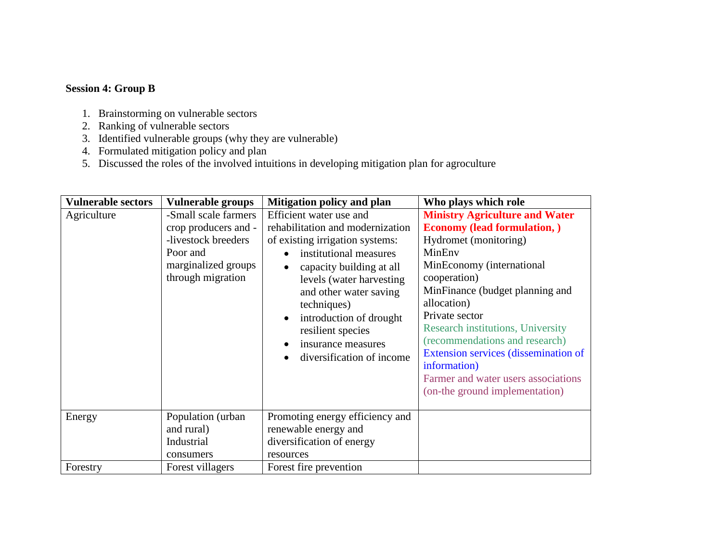## **Session 4: Group B**

- 1. Brainstorming on vulnerable sectors
- 2. Ranking of vulnerable sectors
- 3. Identified vulnerable groups (why they are vulnerable)
- 4. Formulated mitigation policy and plan
- 5. Discussed the roles of the involved intuitions in developing mitigation plan for agroculture

| <b>Vulnerable sectors</b> | <b>Vulnerable groups</b>                                                                                                    | Mitigation policy and plan                                                                                                                                                                                                                                                                                                   | Who plays which role                                                                                                                                                                                                                                                                                                                                                                                                                            |
|---------------------------|-----------------------------------------------------------------------------------------------------------------------------|------------------------------------------------------------------------------------------------------------------------------------------------------------------------------------------------------------------------------------------------------------------------------------------------------------------------------|-------------------------------------------------------------------------------------------------------------------------------------------------------------------------------------------------------------------------------------------------------------------------------------------------------------------------------------------------------------------------------------------------------------------------------------------------|
| Agriculture               | -Small scale farmers<br>crop producers and -<br>-livestock breeders<br>Poor and<br>marginalized groups<br>through migration | Efficient water use and<br>rehabilitation and modernization<br>of existing irrigation systems:<br>institutional measures<br>capacity building at all<br>levels (water harvesting<br>and other water saving<br>techniques)<br>introduction of drought<br>resilient species<br>insurance measures<br>diversification of income | <b>Ministry Agriculture and Water</b><br><b>Economy (lead formulation, )</b><br>Hydromet (monitoring)<br>MinEnv<br>MinEconomy (international<br>cooperation)<br>MinFinance (budget planning and<br>allocation)<br>Private sector<br><b>Research institutions, University</b><br>(recommendations and research)<br>Extension services (dissemination of<br>information)<br>Farmer and water users associations<br>(on-the ground implementation) |
| Energy                    | Population (urban<br>and rural)<br>Industrial<br>consumers                                                                  | Promoting energy efficiency and<br>renewable energy and<br>diversification of energy<br>resources                                                                                                                                                                                                                            |                                                                                                                                                                                                                                                                                                                                                                                                                                                 |
| Forestry                  | Forest villagers                                                                                                            | Forest fire prevention                                                                                                                                                                                                                                                                                                       |                                                                                                                                                                                                                                                                                                                                                                                                                                                 |